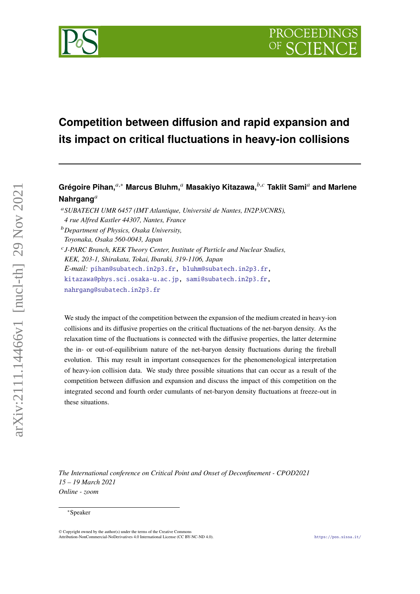

# **Competition between diffusion and rapid expansion and its impact on critical fluctuations in heavy-ion collisions**

# Grégoire Pihan,<sup>*a*,∗</sup> Marcus Bluhm,<sup>*a*</sup> Masakiyo Kitazawa,<sup>*b,c*</sup> Taklit Sami<sup>*a*</sup> and Marlene **Nahrgang**

 *J-PARC Branch, KEK Theory Center, Institute of Particle and Nuclear Studies, KEK, 203-1, Shirakata, Tokai, Ibaraki, 319-1106, Japan E-mail:* [pihan@subatech.in2p3.fr,](mailto:pihan@subatech.in2p3.fr) [bluhm@subatech.in2p3.fr,](mailto:bluhm@subatech.in2p3.fr) [kitazawa@phys.sci.osaka-u.ac.jp,](mailto:kitazawa@phys.sci.osaka-u.ac.jp) [sami@subatech.in2p3.fr,](mailto:sami@subatech.in2p3.fr) [nahrgang@subatech.in2p3.fr](mailto:nahrgang@subatech.in2p3.fr)

We study the impact of the competition between the expansion of the medium created in heavy-ion collisions and its diffusive properties on the critical fluctuations of the net-baryon density. As the relaxation time of the fluctuations is connected with the diffusive properties, the latter determine the in- or out-of-equilibrium nature of the net-baryon density fluctuations during the fireball evolution. This may result in important consequences for the phenomenological interpretation of heavy-ion collision data. We study three possible situations that can occur as a result of the competition between diffusion and expansion and discuss the impact of this competition on the integrated second and fourth order cumulants of net-baryon density fluctuations at freeze-out in these situations.

*The International conference on Critical Point and Onset of Deconfinement - CPOD2021 15 – 19 March 2021 Online - zoom*

arXiv:2111.14466v1 [nucl-th] 29 Nov 2021

arXiv:2111.14466v1 [nucl-th] 29 Nov 2021

*SUBATECH UMR 6457 (IMT Atlantique, Université de Nantes, IN2P3/CNRS), 4 rue Alfred Kastler 44307, Nantes, France*

*Department of Physics, Osaka University, Toyonaka, Osaka 560-0043, Japan*

<sup>∗</sup>Speaker

 $\odot$  Copyright owned by the author(s) under the terms of the Creative Common Attribution-NonCommercial-NoDerivatives 4.0 International License (CC BY-NC-ND 4.0). <https://pos.sissa.it/>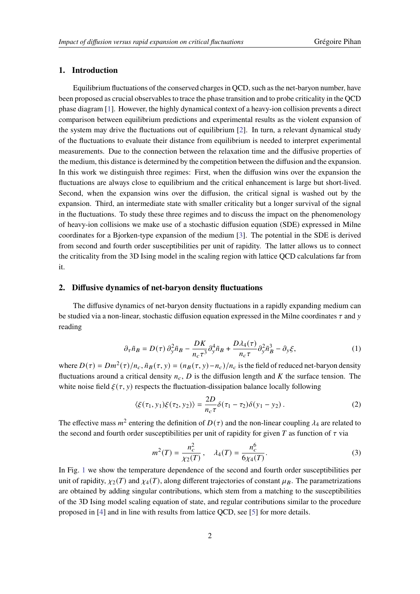## **1. Introduction**

Equilibrium fluctuations of the conserved charges in QCD, such as the net-baryon number, have been proposed as crucial observables to trace the phase transition and to probe criticality in the QCD phase diagram [\[1\]](#page-5-0). However, the highly dynamical context of a heavy-ion collision prevents a direct comparison between equilibrium predictions and experimental results as the violent expansion of the system may drive the fluctuations out of equilibrium [\[2\]](#page-5-1). In turn, a relevant dynamical study of the fluctuations to evaluate their distance from equilibrium is needed to interpret experimental measurements. Due to the connection between the relaxation time and the diffusive properties of the medium, this distance is determined by the competition between the diffusion and the expansion. In this work we distinguish three regimes: First, when the diffusion wins over the expansion the fluctuations are always close to equilibrium and the critical enhancement is large but short-lived. Second, when the expansion wins over the diffusion, the critical signal is washed out by the expansion. Third, an intermediate state with smaller criticality but a longer survival of the signal in the fluctuations. To study these three regimes and to discuss the impact on the phenomenology of heavy-ion collisions we make use of a stochastic diffusion equation (SDE) expressed in Milne coordinates for a Bjorken-type expansion of the medium [\[3\]](#page-5-2). The potential in the SDE is derived from second and fourth order susceptibilities per unit of rapidity. The latter allows us to connect the criticality from the 3D Ising model in the scaling region with lattice QCD calculations far from it.

#### **2. Diffusive dynamics of net-baryon density fluctuations**

The diffusive dynamics of net-baryon density fluctuations in a rapidly expanding medium can be studied via a non-linear, stochastic diffusion equation expressed in the Milne coordinates  $\tau$  and  $\gamma$ reading

<span id="page-1-0"></span>
$$
\partial_{\tau}\tilde{n}_B = D(\tau)\,\partial_y^2\tilde{n}_B - \frac{DK}{n_c\tau^3}\partial_y^4\tilde{n}_B + \frac{D\lambda_4(\tau)}{n_c\tau}\partial_y^2\tilde{n}_B^3 - \partial_y\xi,\tag{1}
$$

where  $D(\tau) = Dm^2(\tau)/n_c$ ,  $\tilde{n}_B(\tau, y) = (n_B(\tau, y) - n_c)/n_c$  is the field of reduced net-baryon density fluctuations around a critical density  $n_c$ , D is the diffusion length and K the surface tension. The white noise field  $\xi(\tau, y)$  respects the fluctuation-dissipation balance locally following

$$
\langle \xi(\tau_1, y_1)\xi(\tau_2, y_2)\rangle = \frac{2D}{n_c\tau} \delta(\tau_1 - \tau_2)\delta(y_1 - y_2).
$$
 (2)

The effective mass  $m^2$  entering the definition of  $D(\tau)$  and the non-linear coupling  $\lambda_4$  are related to the second and fourth order susceptibilities per unit of rapidity for given T as function of  $\tau$  via

$$
m^{2}(T) = \frac{n_{c}^{2}}{\chi_{2}(T)}, \quad \lambda_{4}(T) = \frac{n_{c}^{6}}{6\chi_{4}(T)}.
$$
 (3)

In Fig. [1](#page-2-0) we show the temperature dependence of the second and fourth order susceptibilities per unit of rapidity,  $\chi_2(T)$  and  $\chi_4(T)$ , along different trajectories of constant  $\mu_B$ . The parametrizations are obtained by adding singular contributions, which stem from a matching to the susceptibilities of the 3D Ising model scaling equation of state, and regular contributions similar to the procedure proposed in [\[4\]](#page-5-3) and in line with results from lattice QCD, see [\[5\]](#page-5-4) for more details.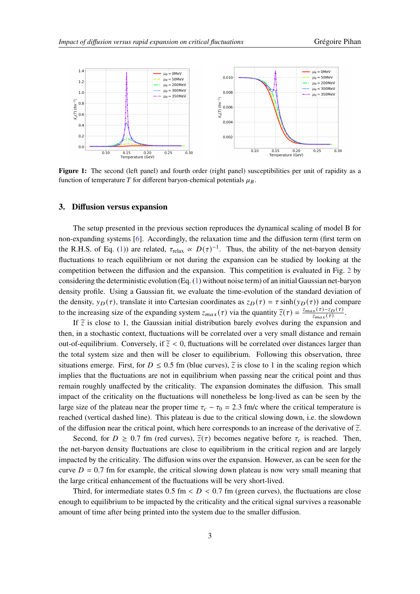<span id="page-2-0"></span>

Figure 1: The second (left panel) and fourth order (right panel) susceptibilities per unit of rapidity as a function of temperature T for different baryon-chemical potentials  $\mu_B$ .

#### <span id="page-2-1"></span>**3. Diffusion versus expansion**

The setup presented in the previous section reproduces the dynamical scaling of model B for non-expanding systems [\[6\]](#page-5-5). Accordingly, the relaxation time and the diffusion term (first term on the R.H.S. of Eq. [\(1\)](#page-1-0)) are related,  $\tau_{relax} \propto D(\tau)^{-1}$ . Thus, the ability of the net-baryon density fluctuations to reach equilibrium or not during the expansion can be studied by looking at the competition between the diffusion and the expansion. This competition is evaluated in Fig. [2](#page-3-0) by considering the deterministic evolution (Eq. [\(1\)](#page-1-0) without noise term) of an initial Gaussian net-baryon density profile. Using a Gaussian fit, we evaluate the time-evolution of the standard deviation of the density,  $y_D(\tau)$ , translate it into Cartesian coordinates as  $z_D(\tau) = \tau \sinh(y_D(\tau))$  and compare to the increasing size of the expanding system  $z_{max}(\tau)$  via the quantity  $\overline{z}(\tau) = \frac{z_{max}(\tau) - z_D(\tau)}{z_{max}(\tau)}$  $rac{x(\tau)-Z_D(\tau)}{z_{max}(\tau)}.$ 

If  $\tilde{z}$  is close to 1, the Gaussian initial distribution barely evolves during the expansion and then, in a stochastic context, fluctuations will be correlated over a very small distance and remain out-of-equilibrium. Conversely, if  $\tilde{z} < 0$ , fluctuations will be correlated over distances larger than the total system size and then will be closer to equilibrium. Following this observation, three situations emerge. First, for  $D \le 0.5$  fm (blue curves),  $\tilde{z}$  is close to 1 in the scaling region which implies that the fluctuations are not in equilibrium when passing near the critical point and thus remain roughly unaffected by the criticality. The expansion dominates the diffusion. This small impact of the criticality on the fluctuations will nonetheless be long-lived as can be seen by the large size of the plateau near the proper time  $\tau_c - \tau_0 = 2.3$  fm/c where the critical temperature is reached (vertical dashed line). This plateau is due to the critical slowing down, i.e. the slowdown of the diffusion near the critical point, which here corresponds to an increase of the derivative of  $\tilde{z}$ .

Second, for  $D \ge 0.7$  fm (red curves),  $\tilde{z}(\tau)$  becomes negative before  $\tau_c$  is reached. Then, the net-baryon density fluctuations are close to equilibrium in the critical region and are largely impacted by the criticality. The diffusion wins over the expansion. However, as can be seen for the curve  $D = 0.7$  fm for example, the critical slowing down plateau is now very small meaning that the large critical enhancement of the fluctuations will be very short-lived.

Third, for intermediate states  $0.5 \text{ fm} < D < 0.7 \text{ fm}$  (green curves), the fluctuations are close enough to equilibrium to be impacted by the criticality and the critical signal survives a reasonable amount of time after being printed into the system due to the smaller diffusion.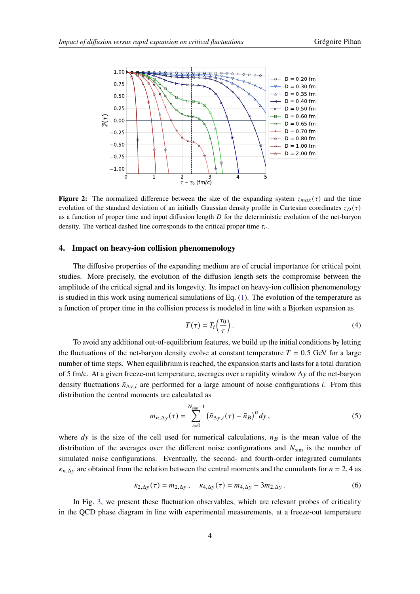<span id="page-3-0"></span>

**Figure 2:** The normalized difference between the size of the expanding system  $z_{max}(\tau)$  and the time evolution of the standard deviation of an initially Gaussian density profile in Cartesian coordinates  $z_D(\tau)$ as a function of proper time and input diffusion length  $D$  for the deterministic evolution of the net-baryon density. The vertical dashed line corresponds to the critical proper time  $\tau_c$ .

#### **4. Impact on heavy-ion collision phenomenology**

The diffusive properties of the expanding medium are of crucial importance for critical point studies. More precisely, the evolution of the diffusion length sets the compromise between the amplitude of the critical signal and its longevity. Its impact on heavy-ion collision phenomenology is studied in this work using numerical simulations of Eq. [\(1\)](#page-1-0). The evolution of the temperature as a function of proper time in the collision process is modeled in line with a Bjorken expansion as

$$
T(\tau) = T_i \left(\frac{\tau_0}{\tau}\right). \tag{4}
$$

To avoid any additional out-of-equilibrium features, we build up the initial conditions by letting the fluctuations of the net-baryon density evolve at constant temperature  $T = 0.5$  GeV for a large number of time steps. When equilibrium is reached, the expansion starts and lasts for a total duration of 5 fm/c. At a given freeze-out temperature, averages over a rapidity window  $\Delta y$  of the net-baryon density fluctuations  $\tilde{n}_{\Delta y,i}$  are performed for a large amount of noise configurations i. From this distribution the central moments are calculated as

$$
m_{n,\Delta y}(\tau) = \sum_{i=0}^{N_{\text{sim}}-1} \left( \tilde{n}_{\Delta y,i}(\tau) - \bar{n}_B \right)^n dy , \qquad (5)
$$

where dy is the size of the cell used for numerical calculations,  $\bar{n}_B$  is the mean value of the distribution of the averages over the different noise configurations and  $N_{\text{sim}}$  is the number of simulated noise configurations. Eventually, the second- and fourth-order integrated cumulants  $\kappa_{n,\Delta y}$  are obtained from the relation between the central moments and the cumulants for  $n = 2, 4$  as

$$
\kappa_{2,\Delta y}(\tau) = m_{2,\Delta y}, \quad \kappa_{4,\Delta y}(\tau) = m_{4,\Delta y} - 3m_{2,\Delta y} \,. \tag{6}
$$

In Fig. [3,](#page-4-0) we present these fluctuation observables, which are relevant probes of criticality in the QCD phase diagram in line with experimental measurements, at a freeze-out temperature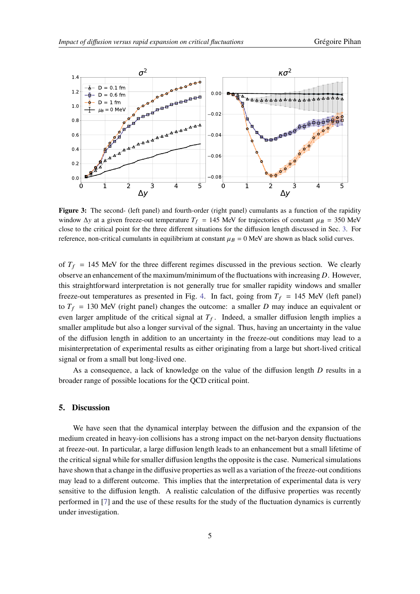<span id="page-4-0"></span>

**Figure 3:** The second- (left panel) and fourth-order (right panel) cumulants as a function of the rapidity window  $\Delta y$  at a given freeze-out temperature  $T_f = 145$  MeV for trajectories of constant  $\mu_B = 350$  MeV close to the critical point for the three different situations for the diffusion length discussed in Sec. [3.](#page-2-1) For reference, non-critical cumulants in equilibrium at constant  $\mu_B = 0$  MeV are shown as black solid curves.

of  $T_f$  = 145 MeV for the three different regimes discussed in the previous section. We clearly observe an enhancement of the maximum/minimum of the fluctuations with increasing  $D$ . However, this straightforward interpretation is not generally true for smaller rapidity windows and smaller freeze-out temperatures as presented in Fig. [4.](#page-5-6) In fact, going from  $T_f = 145$  MeV (left panel) to  $T_f = 130$  MeV (right panel) changes the outcome: a smaller D may induce an equivalent or even larger amplitude of the critical signal at  $T_f$ . Indeed, a smaller diffusion length implies a smaller amplitude but also a longer survival of the signal. Thus, having an uncertainty in the value of the diffusion length in addition to an uncertainty in the freeze-out conditions may lead to a misinterpretation of experimental results as either originating from a large but short-lived critical signal or from a small but long-lived one.

As a consequence, a lack of knowledge on the value of the diffusion length  $D$  results in a broader range of possible locations for the QCD critical point.

#### **5. Discussion**

We have seen that the dynamical interplay between the diffusion and the expansion of the medium created in heavy-ion collisions has a strong impact on the net-baryon density fluctuations at freeze-out. In particular, a large diffusion length leads to an enhancement but a small lifetime of the critical signal while for smaller diffusion lengths the opposite is the case. Numerical simulations have shown that a change in the diffusive properties as well as a variation of the freeze-out conditions may lead to a different outcome. This implies that the interpretation of experimental data is very sensitive to the diffusion length. A realistic calculation of the diffusive properties was recently performed in [\[7\]](#page-5-7) and the use of these results for the study of the fluctuation dynamics is currently under investigation.